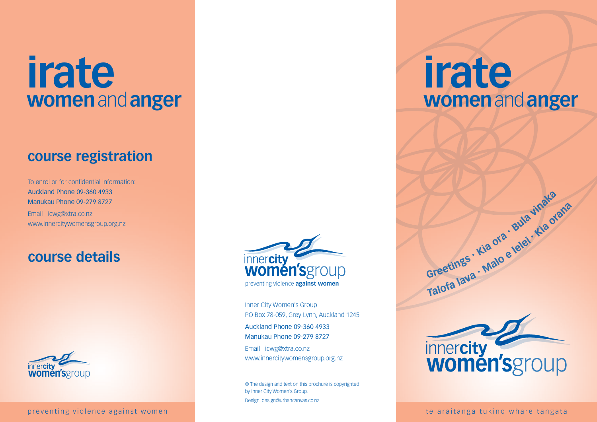# **irate women** and **anger**

# **course registration**

To enrol or for confidential information: Auckland Phone 09-360 4933 Manukau Phone 09-279 8727 Email icwg@xtra.co.nz www.innercitywomensgroup.org.nz

# **course details**



preventing violence against women the state of the araitanga tukino whare tangata the state of the state of the state of the state of the state of the state of the state of the state of the state of the state of the state



Inner City Women's Group PO Box 78-059, Grey Lynn, Auckland 1245 Auckland Phone 09-360 4933 Manukau Phone 09-279 8727 Email icwg@xtra.co.nz

www.innercitywomensgroup.org.nz

© The design and text on this brochure is copyrighted by Inner City Women's Group. Design: design@urbancanvas.co.nz

# **irate women** and **anger**